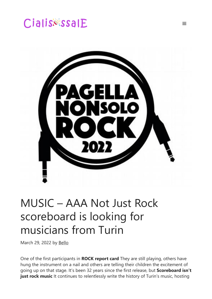# Cialis&ssalE



 $\equiv$ 

## MUSIC – AAA Not Just Rock scoreboard is looking for musicians from Turin

March 29, 2022 by [Bello](https://cialisessale.com/author/admin/)

One of the first participants in **ROCK report card** They are still playing, others have hung the instrument on a nail and others are telling their children the excitement of going up on that stage. It's been 32 years since the first release, but **Scoreboard isn't** just rock music It continues to relentlessly write the history of Turin's music, hosting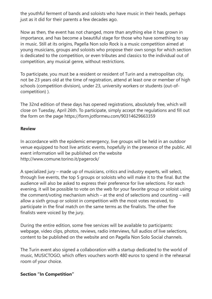the youthful ferment of bands and soloists who have music in their heads, perhaps just as it did for their parents a few decades ago.

Now as then, the event has not changed, more than anything else it has grown in importance, and has become a beautiful stage for those who have something to say in music. Still at its origins, Pagella Non solo Rock is a music competition aimed at young musicians, groups and soloists who propose their own songs for which section is dedicated to the competition, or even tributes and classics to the individual out of competition, any musical genre, without restrictions.

To participate, you must be a resident or resident of Turin and a metropolitan city, not be 23 years old at the time of registration, attend at least one or member of high schools (competition division), under 23, university workers or students (out-ofcompetition) ).

The 32nd edition of these days has opened registrations, absolutely free, which will close on Tuesday, April 26th. To participate, simply accept the regulations and fill out the form on the page https://form.jotformeu.com/90314629663359

#### **Review**

In accordance with the epidemic emergency, live groups will be held in an outdoor venue equipped to host live artistic events, hopefully in the presence of the public. All event information will be published on the website http://www.comune.torino.it/pagerock/

A specialized jury – made up of musicians, critics and industry experts, will select, through live events, the top 5 groups or soloists who will make it to the final. But the audience will also be asked to express their preference for live selections. For each evening, it will be possible to vote on the web for your favorite group or soloist using the comment/voting mechanism which – at the end of selections and counting – will allow a sixth group or soloist in competition with the most votes received, to participate in the final match on the same terms as the finalists. The other five finalists were voiced by the jury.

During the entire edition, some free services will be available to participants: webpage, video clips, photos, reviews, radio interviews, full audios of live selections, content to be published on the website and on Pagella Non Solo Social channels.

The Turin event also signed a collaboration with a startup dedicated to the world of music, MUSICTOGO, which offers vouchers worth 480 euros to spend in the rehearsal room of your choice.

#### **Section "In Competition"**